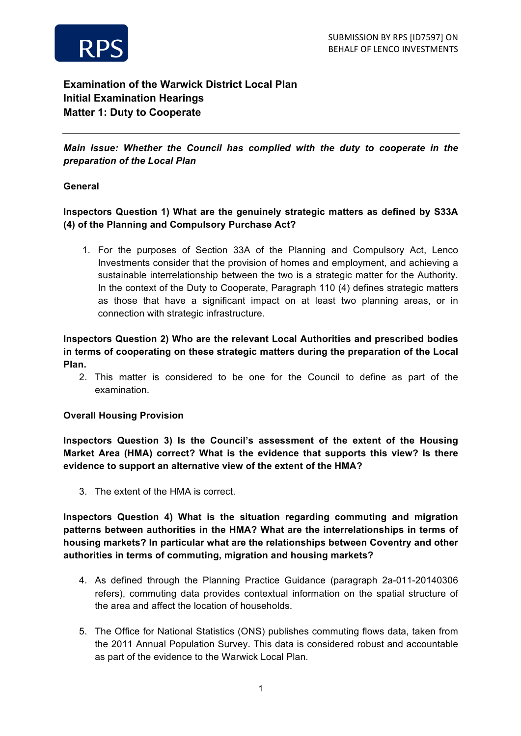



# **Examination of the Warwick District Local Plan Initial Examination Hearings Matter 1: Duty to Cooperate**

*Main Issue: Whether the Council has complied with the duty to cooperate in the preparation of the Local Plan*

#### **General**

# **Inspectors Question 1) What are the genuinely strategic matters as defined by S33A (4) of the Planning and Compulsory Purchase Act?**

1. For the purposes of Section 33A of the Planning and Compulsory Act, Lenco Investments consider that the provision of homes and employment, and achieving a sustainable interrelationship between the two is a strategic matter for the Authority. In the context of the Duty to Cooperate, Paragraph 110 (4) defines strategic matters as those that have a significant impact on at least two planning areas, or in connection with strategic infrastructure.

# **Inspectors Question 2) Who are the relevant Local Authorities and prescribed bodies in terms of cooperating on these strategic matters during the preparation of the Local Plan.**

2. This matter is considered to be one for the Council to define as part of the examination.

#### **Overall Housing Provision**

**Inspectors Question 3) Is the Council's assessment of the extent of the Housing Market Area (HMA) correct? What is the evidence that supports this view? Is there evidence to support an alternative view of the extent of the HMA?**

3. The extent of the HMA is correct.

**Inspectors Question 4) What is the situation regarding commuting and migration patterns between authorities in the HMA? What are the interrelationships in terms of housing markets? In particular what are the relationships between Coventry and other authorities in terms of commuting, migration and housing markets?**

- 4. As defined through the Planning Practice Guidance (paragraph 2a-011-20140306 refers), commuting data provides contextual information on the spatial structure of the area and affect the location of households.
- 5. The Office for National Statistics (ONS) publishes commuting flows data, taken from the 2011 Annual Population Survey. This data is considered robust and accountable as part of the evidence to the Warwick Local Plan.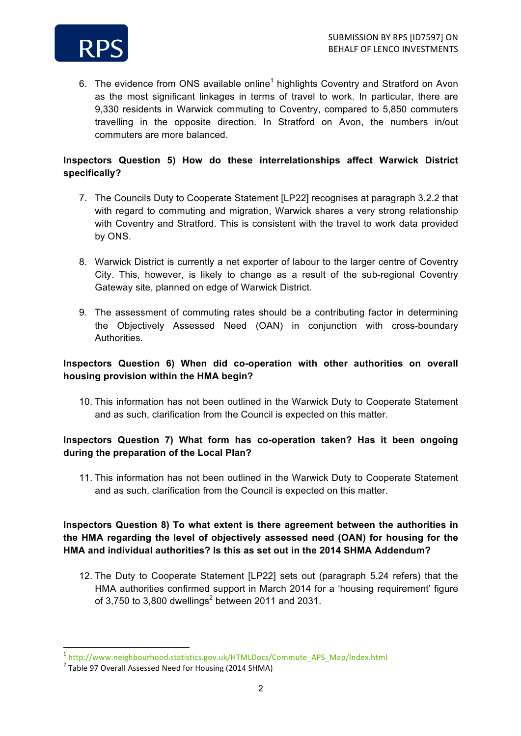

6. The evidence from ONS available online<sup>1</sup> highlights Coventry and Stratford on Avon as the most significant linkages in terms of travel to work. In particular, there are 9,330 residents in Warwick commuting to Coventry, compared to 5,850 commuters travelling in the opposite direction. In Stratford on Avon, the numbers in/out commuters are more balanced.

#### **Inspectors Question 5) How do these interrelationships affect Warwick District specifically?**

- 7. The Councils Duty to Cooperate Statement [LP22] recognises at paragraph 3.2.2 that with regard to commuting and migration, Warwick shares a very strong relationship with Coventry and Stratford. This is consistent with the travel to work data provided by ONS.
- 8. Warwick District is currently a net exporter of labour to the larger centre of Coventry City. This, however, is likely to change as a result of the sub-regional Coventry Gateway site, planned on edge of Warwick District.
- 9. The assessment of commuting rates should be a contributing factor in determining the Objectively Assessed Need (OAN) in conjunction with cross-boundary Authorities.

### **Inspectors Question 6) When did co-operation with other authorities on overall housing provision within the HMA begin?**

10. This information has not been outlined in the Warwick Duty to Cooperate Statement and as such, clarification from the Council is expected on this matter.

# **Inspectors Question 7) What form has co-operation taken? Has it been ongoing during the preparation of the Local Plan?**

11. This information has not been outlined in the Warwick Duty to Cooperate Statement and as such, clarification from the Council is expected on this matter.

### **Inspectors Question 8) To what extent is there agreement between the authorities in the HMA regarding the level of objectively assessed need (OAN) for housing for the HMA and individual authorities? Is this as set out in the 2014 SHMA Addendum?**

12. The Duty to Cooperate Statement [LP22] sets out (paragraph 5.24 refers) that the HMA authorities confirmed support in March 2014 for a 'housing requirement' figure of 3,750 to 3,800 dwellings<sup>2</sup> between 2011 and 2031.

 

<sup>1</sup> http://www.neighbourhood.statistics.gov.uk/HTMLDocs/Commute\_APS\_Map/Index.html

 $2$  Table 97 Overall Assessed Need for Housing (2014 SHMA)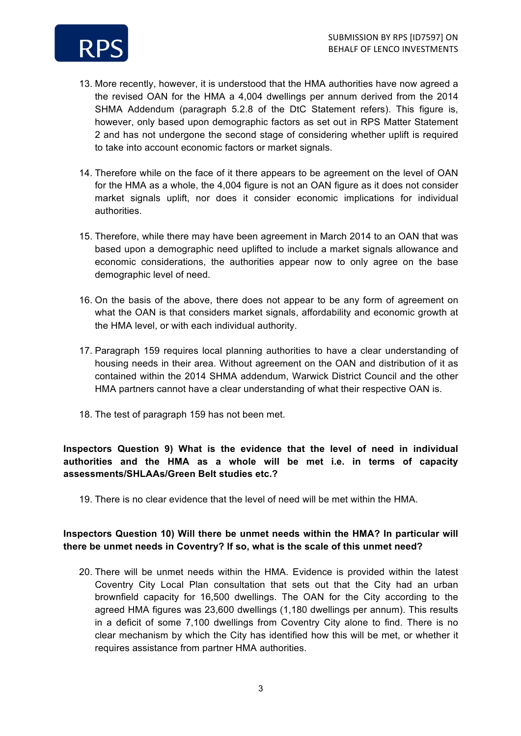

- 13. More recently, however, it is understood that the HMA authorities have now agreed a the revised OAN for the HMA a 4,004 dwellings per annum derived from the 2014 SHMA Addendum (paragraph 5.2.8 of the DtC Statement refers). This figure is, however, only based upon demographic factors as set out in RPS Matter Statement 2 and has not undergone the second stage of considering whether uplift is required to take into account economic factors or market signals.
- 14. Therefore while on the face of it there appears to be agreement on the level of OAN for the HMA as a whole, the 4,004 figure is not an OAN figure as it does not consider market signals uplift, nor does it consider economic implications for individual authorities.
- 15. Therefore, while there may have been agreement in March 2014 to an OAN that was based upon a demographic need uplifted to include a market signals allowance and economic considerations, the authorities appear now to only agree on the base demographic level of need.
- 16. On the basis of the above, there does not appear to be any form of agreement on what the OAN is that considers market signals, affordability and economic growth at the HMA level, or with each individual authority.
- 17. Paragraph 159 requires local planning authorities to have a clear understanding of housing needs in their area. Without agreement on the OAN and distribution of it as contained within the 2014 SHMA addendum, Warwick District Council and the other HMA partners cannot have a clear understanding of what their respective OAN is.
- 18. The test of paragraph 159 has not been met.

### **Inspectors Question 9) What is the evidence that the level of need in individual authorities and the HMA as a whole will be met i.e. in terms of capacity assessments/SHLAAs/Green Belt studies etc.?**

19. There is no clear evidence that the level of need will be met within the HMA.

### **Inspectors Question 10) Will there be unmet needs within the HMA? In particular will there be unmet needs in Coventry? If so, what is the scale of this unmet need?**

20. There will be unmet needs within the HMA. Evidence is provided within the latest Coventry City Local Plan consultation that sets out that the City had an urban brownfield capacity for 16,500 dwellings. The OAN for the City according to the agreed HMA figures was 23,600 dwellings (1,180 dwellings per annum). This results in a deficit of some 7,100 dwellings from Coventry City alone to find. There is no clear mechanism by which the City has identified how this will be met, or whether it requires assistance from partner HMA authorities.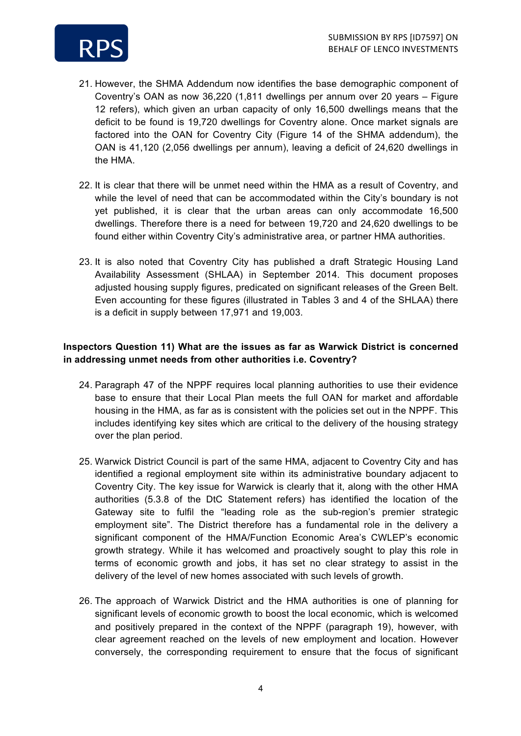

- 21. However, the SHMA Addendum now identifies the base demographic component of Coventry's OAN as now 36,220 (1,811 dwellings per annum over 20 years – Figure 12 refers), which given an urban capacity of only 16,500 dwellings means that the deficit to be found is 19,720 dwellings for Coventry alone. Once market signals are factored into the OAN for Coventry City (Figure 14 of the SHMA addendum), the OAN is 41,120 (2,056 dwellings per annum), leaving a deficit of 24,620 dwellings in the HMA.
- 22. It is clear that there will be unmet need within the HMA as a result of Coventry, and while the level of need that can be accommodated within the City's boundary is not yet published, it is clear that the urban areas can only accommodate 16,500 dwellings. Therefore there is a need for between 19,720 and 24,620 dwellings to be found either within Coventry City's administrative area, or partner HMA authorities.
- 23. It is also noted that Coventry City has published a draft Strategic Housing Land Availability Assessment (SHLAA) in September 2014. This document proposes adjusted housing supply figures, predicated on significant releases of the Green Belt. Even accounting for these figures (illustrated in Tables 3 and 4 of the SHLAA) there is a deficit in supply between 17,971 and 19,003.

### **Inspectors Question 11) What are the issues as far as Warwick District is concerned in addressing unmet needs from other authorities i.e. Coventry?**

- 24. Paragraph 47 of the NPPF requires local planning authorities to use their evidence base to ensure that their Local Plan meets the full OAN for market and affordable housing in the HMA, as far as is consistent with the policies set out in the NPPF. This includes identifying key sites which are critical to the delivery of the housing strategy over the plan period.
- 25. Warwick District Council is part of the same HMA, adjacent to Coventry City and has identified a regional employment site within its administrative boundary adjacent to Coventry City. The key issue for Warwick is clearly that it, along with the other HMA authorities (5.3.8 of the DtC Statement refers) has identified the location of the Gateway site to fulfil the "leading role as the sub-region's premier strategic employment site". The District therefore has a fundamental role in the delivery a significant component of the HMA/Function Economic Area's CWLEP's economic growth strategy. While it has welcomed and proactively sought to play this role in terms of economic growth and jobs, it has set no clear strategy to assist in the delivery of the level of new homes associated with such levels of growth.
- 26. The approach of Warwick District and the HMA authorities is one of planning for significant levels of economic growth to boost the local economic, which is welcomed and positively prepared in the context of the NPPF (paragraph 19), however, with clear agreement reached on the levels of new employment and location. However conversely, the corresponding requirement to ensure that the focus of significant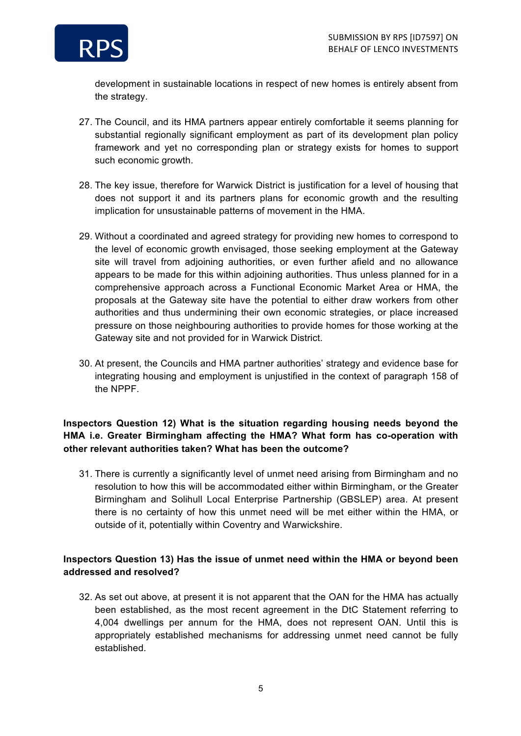

development in sustainable locations in respect of new homes is entirely absent from the strategy.

- 27. The Council, and its HMA partners appear entirely comfortable it seems planning for substantial regionally significant employment as part of its development plan policy framework and yet no corresponding plan or strategy exists for homes to support such economic growth.
- 28. The key issue, therefore for Warwick District is justification for a level of housing that does not support it and its partners plans for economic growth and the resulting implication for unsustainable patterns of movement in the HMA.
- 29. Without a coordinated and agreed strategy for providing new homes to correspond to the level of economic growth envisaged, those seeking employment at the Gateway site will travel from adjoining authorities, or even further afield and no allowance appears to be made for this within adjoining authorities. Thus unless planned for in a comprehensive approach across a Functional Economic Market Area or HMA, the proposals at the Gateway site have the potential to either draw workers from other authorities and thus undermining their own economic strategies, or place increased pressure on those neighbouring authorities to provide homes for those working at the Gateway site and not provided for in Warwick District.
- 30. At present, the Councils and HMA partner authorities' strategy and evidence base for integrating housing and employment is unjustified in the context of paragraph 158 of the NPPF.

# **Inspectors Question 12) What is the situation regarding housing needs beyond the HMA i.e. Greater Birmingham affecting the HMA? What form has co-operation with other relevant authorities taken? What has been the outcome?**

31. There is currently a significantly level of unmet need arising from Birmingham and no resolution to how this will be accommodated either within Birmingham, or the Greater Birmingham and Solihull Local Enterprise Partnership (GBSLEP) area. At present there is no certainty of how this unmet need will be met either within the HMA, or outside of it, potentially within Coventry and Warwickshire.

### **Inspectors Question 13) Has the issue of unmet need within the HMA or beyond been addressed and resolved?**

32. As set out above, at present it is not apparent that the OAN for the HMA has actually been established, as the most recent agreement in the DtC Statement referring to 4,004 dwellings per annum for the HMA, does not represent OAN. Until this is appropriately established mechanisms for addressing unmet need cannot be fully established.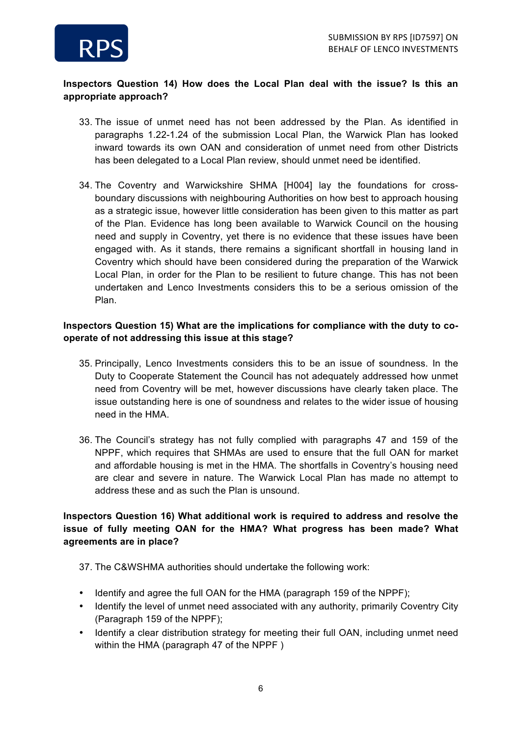

# **Inspectors Question 14) How does the Local Plan deal with the issue? Is this an appropriate approach?**

- 33. The issue of unmet need has not been addressed by the Plan. As identified in paragraphs 1.22-1.24 of the submission Local Plan, the Warwick Plan has looked inward towards its own OAN and consideration of unmet need from other Districts has been delegated to a Local Plan review, should unmet need be identified.
- 34. The Coventry and Warwickshire SHMA [H004] lay the foundations for crossboundary discussions with neighbouring Authorities on how best to approach housing as a strategic issue, however little consideration has been given to this matter as part of the Plan. Evidence has long been available to Warwick Council on the housing need and supply in Coventry, yet there is no evidence that these issues have been engaged with. As it stands, there remains a significant shortfall in housing land in Coventry which should have been considered during the preparation of the Warwick Local Plan, in order for the Plan to be resilient to future change. This has not been undertaken and Lenco Investments considers this to be a serious omission of the Plan.

#### **Inspectors Question 15) What are the implications for compliance with the duty to cooperate of not addressing this issue at this stage?**

- 35. Principally, Lenco Investments considers this to be an issue of soundness. In the Duty to Cooperate Statement the Council has not adequately addressed how unmet need from Coventry will be met, however discussions have clearly taken place. The issue outstanding here is one of soundness and relates to the wider issue of housing need in the HMA.
- 36. The Council's strategy has not fully complied with paragraphs 47 and 159 of the NPPF, which requires that SHMAs are used to ensure that the full OAN for market and affordable housing is met in the HMA. The shortfalls in Coventry's housing need are clear and severe in nature. The Warwick Local Plan has made no attempt to address these and as such the Plan is unsound.

#### **Inspectors Question 16) What additional work is required to address and resolve the issue of fully meeting OAN for the HMA? What progress has been made? What agreements are in place?**

37. The C&WSHMA authorities should undertake the following work:

- Identify and agree the full OAN for the HMA (paragraph 159 of the NPPF);
- Identify the level of unmet need associated with any authority, primarily Coventry City (Paragraph 159 of the NPPF);
- Identify a clear distribution strategy for meeting their full OAN, including unmet need within the HMA (paragraph 47 of the NPPF )